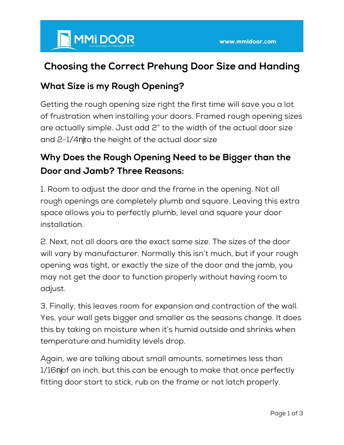# MMI DOOR

### **Choosing the Correct Prehung Door Size and Handing**

#### **What Size is my Rough Opening?**

Getting the rough opening size right the first time will save you a lot of frustration when installing your doors. Framed rough opening sizes are actually simple. Just add 2" to the width of the actual door size and 2-1/4 to the height of the actual door size

#### **Why Does the Rough Opening Need to be Bigger than the Door and Jamb? Three Reasons:**

1. Room to adjust the door and the frame in the opening. Not all rough openings are completely plumb and square. Leaving this extra space allows you to perfectly plumb, level and square your door installation.

2. Next, not all doors are the exact same size. The sizes of the door will vary by manufacturer. Normally this isn't much, but if your rough opening was tight, or exactly the size of the door and the jamb, you may not get the door to function properly without having room to adjust.

3. Finally, this leaves room for expansion and contraction of the wall. Yes, your wall gets bigger and smaller as the seasons change. It does this by taking on moisture when it's humid outside and shrinks when temperature and humidity levels drop.

Again, we are talking about small amounts, sometimes less than 1/16 of an inch, but this can be enough to make that once perfectly fitting door start to stick, rub on the frame or not latch properly.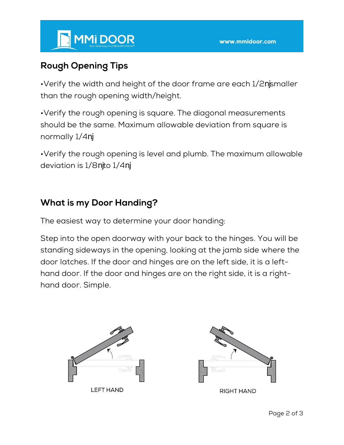#### **Rough Opening Tips**

•Verify the width and height of the door frame are each 1/2 smaller than the rough opening width/height.

•Verify the rough opening is square. The diagonal measurements should be the same. Maximum allowable deviation from square is normally 1/4 .

•Verify the rough opening is level and plumb. The maximum allowable deviation is 1/8 to 1/4 .

#### **What is my Door Handing?**

The easiest way to determine your door handing:

Step into the open doorway with your back to the hinges. You will be standing sideways in the opening, looking at the jamb side where the door latches. If the door and hinges are on the left side, it is a lefthand door. If the door and hinges are on the right side, it is a righthand door. Simple.